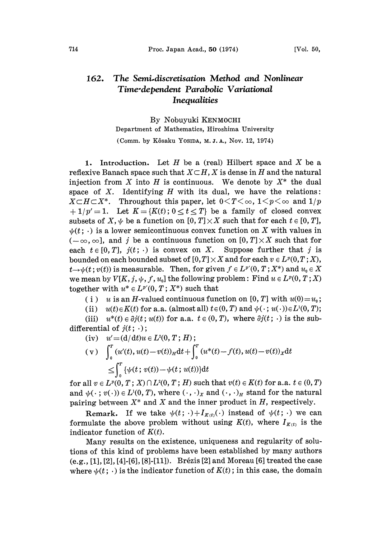## 162. The Semi.discretisation Method and Nonlinear Time'dependent Parabolic Variational **Inequalities**

By Nobuyuki KENMOCHI

Department of Mathematics, Hiroshima University

(Comm. by Kôsaku YosiDA, M.J.A., Nov. 12, 1974)

1. Introduction. Let  $H$  be a (real) Hilbert space and  $X$  be a reflexive Banach space such that  $X\subset H$ , X is dense in H and the natural injection from X into H is continuous. We denote by  $X^*$  the dual space of  $X$ . Identifying  $H$  with its dual, we have the relations:  $X \subset H \subset X^*$ . Throughout this paper, let  $0 \leq T \leq \infty$ ,  $1 \leq p \leq \infty$  and  $1/p$  $+ 1/p' = 1$ . Let  $K = \{K(t) : 0 \le t \le T\}$  be a family of closed convex subsets of X,  $\psi$  be a function on  $[0, T] \times X$  such that for each  $t \in [0, T]$ ,  $\psi(t; \cdot)$  is a lower semicontinuous convex function on X with values in  $(-\infty, \infty]$ , and j be a continuous function on  $[0, T] \times X$  such that for each  $t \in [0, T]$ ,  $j(t; \cdot)$  is convex on X. Suppose further that j is bounded on each bounded subset of  $[0,T] \times X$  and for each  $v \in L^p(0,T;X)$ ,  $t\rightarrow\psi(t; v(t))$  is measurable. Then, for given  $f\in L^{p'}(0,T;X^*)$  and  $u_0\in X$ we mean by  $V[K, j, \psi, f, u_0]$  the following problem: Find  $u \in L^p(0, T; X)$ together with  $u^* \in L^{p'}(0,T;X^*)$  such that

( i ) u is an H-valued continuous function on [0, T] with  $u(0)=u_0$ ;

(ii)  $u(t) \in K(t)$  for a.a. (almost all)  $t \in (0, T)$  and  $\psi(\cdot; u(\cdot)) \in L^1(0, T);$ 

(iii)  $u^*(t) \in \partial j(t; u(t))$  for a.a.  $t \in (0, T)$ , where  $\partial j(t; \cdot)$  is the subdifferential of  $j(t; \cdot)$ ;

(iv) 
$$
u' = (d/dt)u \in L^2(0, T; H);
$$
  
\n(v)  $\int_0^T (u'(t), u(t) - v(t))_H dt + \int_0^T (u^*(t) - f(t), u(t) - v(t))_X dt$   
\n $\leq \int_0^T {\psi(t; v(t)) - \psi(t; u(t))} dt$ 

for all  $v \in L^p(0, T; X) \cap L^2(0, T; H)$  such that  $v(t) \in K(t)$  for a.a.  $t \in (0, T)$ and  $\psi(\cdot; v(\cdot)) \in L^1(0, T)$ , where  $(\cdot, \cdot)_x$  and  $(\cdot, \cdot)_x$  stand for the natural pairing between  $X^*$  and  $X$  and the inner product in  $H$ , respectively.

Remark. If we take  $\psi(t; \cdot) + I_{K(t)}(\cdot)$  instead of  $\psi(t; \cdot)$  we can formulate the above problem without using  $K(t)$ , where  $I_{K(t)}$  is the indicator function of  $K(t)$ .

Many results on the existence, uniqueness and regularity of solutions ot this kind ot problems have been established by many authors  $(e.g., [1], [2], [4], [6], [8], [11])$ . Brézis [2] and Moreau [6] treated the case where  $\psi(t; \cdot)$  is the indicator function of  $K(t)$ ; in this case, the domain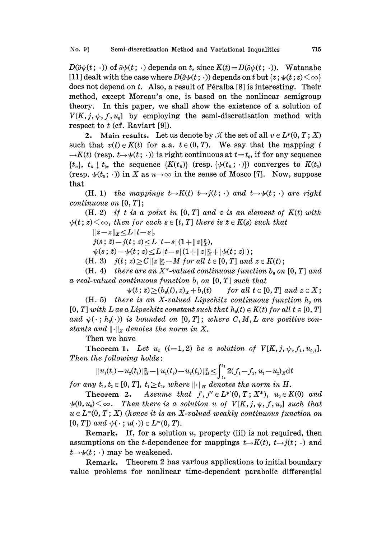$D(\partial \psi(t; \cdot))$  of  $\partial \psi(t; \cdot)$  depends on t, since  $K(t)=D(\partial \psi(t; \cdot))$ . Watanabe [11] dealt with the case where  $D(\partial \psi(t; \cdot))$  depends on t but  $\{z : \psi(t; z) \leq \infty\}$ does not depend on  $t$ . Also, a result of Péralba [8] is interesting. Their method, except Moreau's one, is based on the nonlinear semigroup theory. In this paper, we shall show the existence of a solution of  $V[K, j, \psi, f, u_0]$  by employing the semi-discretisation method with respect to  $t$  (cf. Raviart [9]).

2. Main results. Let us denote by  $\mathcal K$  the set of all  $v \in L^p(0, T; X)$ such that  $v(t) \in K(t)$  for a.a.  $t \in (0, T)$ . We say that the mapping t  $\rightarrow$ K(t) (resp.  $t\rightarrow\psi(t;\cdot)$ ) is right continuous at  $t=t_0$ , if for any sequence  $\{t_n\}, t_n \downarrow t_0$ , the sequence  $\{K(t_n)\}$  (resp.  $\{\psi(t_n; \cdot)\}$ ) converges to  $K(t_0)$ (resp.  $\psi(t_0; \cdot)$ ) in X as  $n \to \infty$  in the sense of Mosco [7]. Now, suppose that

(H. 1) the mappings  $t\rightarrow K(t)$   $t\rightarrow j(t;\cdot)$  and  $t\rightarrow \psi(t;\cdot)$  are right continuous on [0, T];

 $(H. 2)$  if t is a point in  $[0, T]$  and z is an element of  $K(t)$  with  $\psi(t; z) \leq \infty$ , then for each  $s \in [t, T]$  there is  $\tilde{z} \in K(s)$  such that

 $||\tilde{z}-z||_X \leq L |t-s|,$ 

 $j(s; \tilde{z})-j(t; z) \leq L |t-s| (1+\|z\|_{X}^{p}),$ 

 $\psi(s; \tilde{z})-\psi(t; z) \leq L |t-s|(1+\|z\|_X^p+|\psi(t; z)|);$ 

(H. 3)  $j(t; z) \ge C ||z||_x^p - M$  for all  $t \in [0, T]$  and  $z \in K(t)$ ;

(H. 4) there are an  $X^*$ -valued continuous function  $b_0$  on [0, T] and a real-valued continuous function  $b_1$  on  $[0, T]$  such that

 $\psi(t; z) \ge (b_0(t), z)_x + b_1(t)$  for all  $t \in [0, T]$  and  $z \in X$ ; (H. 5) there is an X-valued Lipschitz continuous function  $h_0$  on  $[0, T]$  with L as a Lipschitz constant such that  $h_0(t) \in K(t)$  for all  $t \in [0, T]$ and  $\psi(\cdot; h_0(\cdot))$  is bounded on [0, T]; where C,M,L are positive constants and  $\lVert \cdot \rVert_x$  denotes the norm in X.

Then we have

**Theorem 1.** Let  $u_i$  (i=1,2) be a solution of  $V(K, j, \psi, f_i, u_{0,i}].$ Then the following holds:

$$
||u_1(t_1)-u_2(t_1)||_H^2-||u_1(t_2)-u_2(t_2)||_H^2\leq \int_{t_2}^{t_1}2(f_1-f_2,u_1-u_2)_X\mathrm{d}t
$$
  
for any  $t_1, t_2 \in [0, T]$ ,  $t_1 \geq t_2$ , where  $||\cdot||_H$  denotes the norm in H.

Theorem 2. Assume that  $f, f' \in L^{p'}(0,T; X^*)$ ,  $u_0 \in K(0)$  and  $\psi(0, u_0) \leq \infty$ . Then there is a solution u of  $V[K, j, \psi, f, u_0]$  such that  $u \in L^{\infty}(0, T; X)$  (hence it is an X-valued weakly continuous function on  $[0, T]$  and  $\psi(\cdot; u(\cdot)) \in L^{\infty}(0, T)$ .

Remark. If, for a solution  $u$ , property (iii) is not required, then assumptions on the *t*-dependence for mappings  $t \rightarrow K(t)$ ,  $t \rightarrow j(t; \cdot)$  and  $t\rightarrow\psi(t;\cdot)$  may be weakened.

Remark. Theorem 2 has various applications to initial boundary value problems for nonlinear time-dependent parabolic differential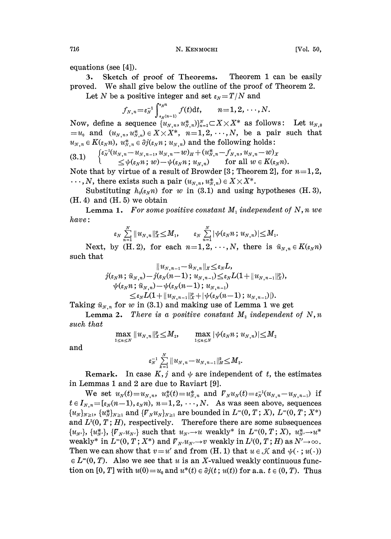equations (see [4]).

3. Sketch of proof of Theorems. Theorem 1 can be easily proved. We shall give below the outline of the proof of Theorem 2.

Let N be a positive integer and set  $\varepsilon_N = T/N$  and

$$
f_{N,n} = \varepsilon_N^{-1} \int_{\varepsilon_N(n-1)}^{\varepsilon_N n} f(t) \mathrm{d} t, \qquad n = 1, 2, \cdots, N.
$$

Now, define a sequence  $\{u_{N,n}, u_{N,n}^*\}_{n=1}^N \subset X \times X^*$  as follows: Let  $u_{N,0}$  $=u_0$  and  $(u_{N,n},u_{N,n}^*)\in X\times X^*$ ,  $n=1,2,\cdots,N$ , be a pair such that  $u_{N,n} \in K(\epsilon_N n)$ ,  $u_{N,n}^* \in \partial j(\epsilon_N n; u_{N,n})$  and the following holds:

$$
(3.1) \qquad \begin{cases} \varepsilon_N^{-1}(u_{N,n}-u_{N,n-1},u_{N,n}-w)_H + (u_{N,n}^*-f_{N,n},u_{N,n}-w)_X \\ \leq \psi(\varepsilon_N n\,;\,w) - \psi(\varepsilon_N n\,;\,u_{N,n}) \qquad \text{for all } w \in K(\varepsilon_N n). \end{cases}
$$

Note that by virtue of a result of Browder [3; Theorem 2], for  $n=1, 2$ ,  $\ldots, N$ , there exists such a pair  $(u_{N,n}, u_{N,n}^*) \in X \times X^*$ .

Substituting  $h_0(\varepsilon_N n)$  for w in (3.1) and using hypotheses (H. 3), (H. 4) and (H. 5) we obtain

Lemma 1. For some positive constant  $M_1$  independent of N, n we have:

$$
\varepsilon_N \sum_{n=1}^N \|u_{N,n}\|_X^p \leq M_1, \qquad \varepsilon_N \sum_{n=1}^N |\psi(\varepsilon_N n\,; \, u_{N,n})| \leq M_1.
$$

Next, by (H. 2), for each  $n=1, 2, \dots, N$ , there is  $\tilde{u}_{N,n} \in K(\varepsilon_N n)$ such that

$$
\|u_{N,n-1}-\tilde{u}_{N,n}\|_X\leq \varepsilon_N L,\\ j(\varepsilon_Nn\,;\,\tilde{u}_{N,n})-j(\varepsilon_N(n-1)\,;\,u_{N,n-1})\leq \varepsilon_N L(1+\|u_{N,n-1}\|_X^p),\\ \psi(\varepsilon_Nn\,;\,\tilde{u}_{N,n})-\psi(\varepsilon_N(n-1)\,;\,u_{N,n-1})\\ \leq \varepsilon_N L(1+\|u_{N,n-1}\|_X^p+\|\psi(\varepsilon_N(n-1)\,;\,u_{N,n-1})|).
$$

Taking  $\tilde{u}_{N,n}$  for w in (3.1) and making use of Lemma 1 we get

Lemma 2. There is a positive constant  $M_i$  independent of  $N, n$ such that  $\max_{1 \leq N} \| u_{N,n} \|_X^p \leq M_2,$ 

$$
\max_{1 \leq n \leq N} \| u_{N,n} \|_{X}^p \leq M_2, \qquad \max_{1 \leq n \leq N} |\psi(\varepsilon_N n\,;\, u_{N,n})| \leq M_2
$$

and

$$
\varepsilon_N^{-1}\sum_{k=1}^N\|u_{N,n}\!-\!u_{N,n-1}\|_H^2\!\leq\!M_2.
$$

**Remark.** In case  $K, j$  and  $\psi$  are independent of t, the estimates in Lemmas <sup>1</sup> and 2 are due to Raviart [9].

We set  $u_{N}(t) = u_{N,n}$ ,  $u_{N}^{*}(t) = u_{N,n}^{*}$  and  $\mathcal{V}_{N}u_{N}(t) = \varepsilon_{N}^{-1}(u_{N,n}-u_{N,n-1})$  if  $t \in I_{N,n} = [\varepsilon_N(n-1), \varepsilon_N n), n=1,2,\cdots,N$ . As was seen above, sequences  $\{u_{N}\}_{N\geq 1}$ ,  $\{u_{N}^{*}\}_{N\geq 1}$  and  $\{F_{N}u_{N}\}_{N\geq 1}$  are bounded in  $L^{\infty}(0, T; X)$ ,  $L^{\infty}(0, T; X^{*})$ and  $L^2(0, T; H)$ , respectively. Therefore there are some subsequences  $\{u_{N'}\}, \{u_{N'}^*\}, \{\overline{V}_{N'}u_{N'}\}$  such that  $u_{N'}\to u$  weakly\* in  $L^{\infty}(0, T; X)$ ,  $u_{N'}^*\to u^*$ weakly\* in  $L^{\infty}(0, T; X^*)$  and  $\overline{V}_{N'}u_{N'} \to v$  weakly in  $L^2(0, T; H)$  as  $N' \to \infty$ . Then we can show that  $v=u'$  and from (H. 1) that  $u \in \mathcal{K}$  and  $\psi(\cdot; u(\cdot))$  $\in L^{\infty}(0, T)$ . Also we see that u is an X-valued weakly continuous function on [0, T] with  $u(0) = u_0$  and  $u^*(t) \in \partial j(t; u(t))$  for a.a.  $t \in (0, T)$ . Thus